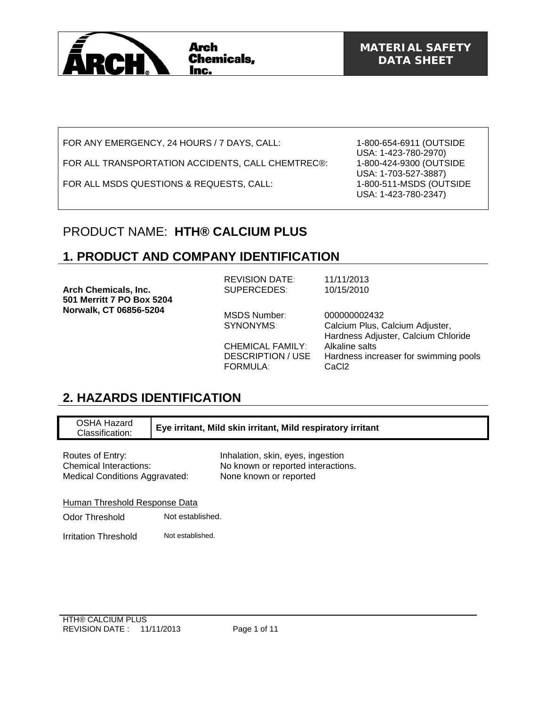

FOR ANY EMERGENCY, 24 HOURS / 7 DAYS, CALL:

FOR ALL TRANSPORTATION ACCIDENTS, CALL CHEMTREC®:

FOR ALL MSDS QUESTIONS & REQUESTS, CALL:

1-800-654-6911 (OUTSIDE USA: 1-423-780-2970) 1-800-424-9300 (OUTSIDE USA: 1-703-527-3887) 1-800-511-MSDS (OUTSIDE USA: 1-423-780-2347)

### PRODUCT NAME: **HTH® CALCIUM PLUS**

### **1. PRODUCT AND COMPANY IDENTIFICATION**

**Arch Chemicals, Inc. 501 Merritt 7 PO Box 5204 Norwalk, CT 06856-5204**  REVISION DATE: 11/11/2013 SUPERCEDES: 10/15/2010 MSDS Number: 000000002432<br>SYNONYMS: Calcium Plus, C Calcium Plus, Calcium Adjuster, Hardness Adjuster, Calcium Chloride CHEMICAL FAMILY: Alkaline salts DESCRIPTION / USE Hardness increaser for swimming pools FORMULA: CaCl2

# **2. HAZARDS IDENTIFICATION**

| OSHA Hazard<br>Classification:                                                      | Eye irritant, Mild skin irritant, Mild respiratory irritant |                                                                                                   |
|-------------------------------------------------------------------------------------|-------------------------------------------------------------|---------------------------------------------------------------------------------------------------|
| Routes of Entry:<br>Chemical Interactions:<br><b>Medical Conditions Aggravated:</b> |                                                             | Inhalation, skin, eyes, ingestion<br>No known or reported interactions.<br>None known or reported |
| Human Threshold Response Data                                                       |                                                             |                                                                                                   |
| Odor Threshold                                                                      | Not established.                                            |                                                                                                   |
| Irritation Threshold                                                                | Not established.                                            |                                                                                                   |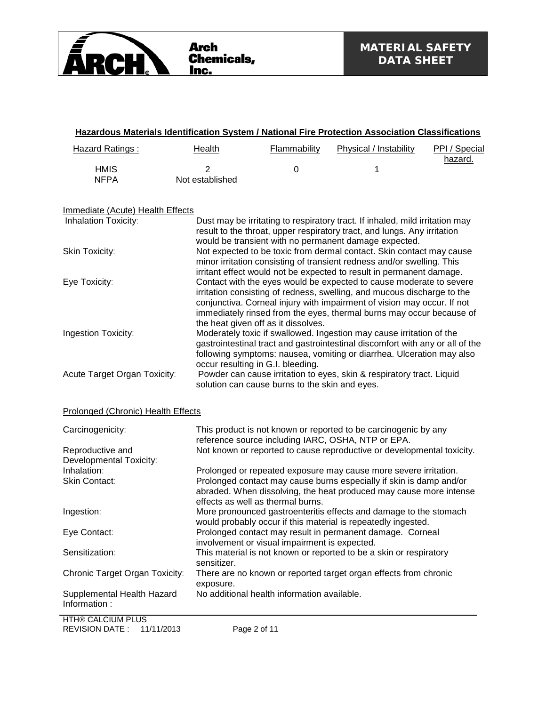

| <b>Hazard Ratings:</b>                     | <b>Health</b>        | Flammability                                   | Physical / Instability                                                                                                                                                                                                                                                                            | PPI / Special<br>hazard. |
|--------------------------------------------|----------------------|------------------------------------------------|---------------------------------------------------------------------------------------------------------------------------------------------------------------------------------------------------------------------------------------------------------------------------------------------------|--------------------------|
| <b>HMIS</b><br><b>NFPA</b>                 | 2<br>Not established | 0                                              | 1                                                                                                                                                                                                                                                                                                 |                          |
| <b>Immediate (Acute) Health Effects</b>    |                      |                                                |                                                                                                                                                                                                                                                                                                   |                          |
| Inhalation Toxicity:                       |                      |                                                | Dust may be irritating to respiratory tract. If inhaled, mild irritation may<br>result to the throat, upper respiratory tract, and lungs. Any irritation                                                                                                                                          |                          |
| Skin Toxicity:                             |                      |                                                | would be transient with no permanent damage expected.<br>Not expected to be toxic from dermal contact. Skin contact may cause<br>minor irritation consisting of transient redness and/or swelling. This<br>irritant effect would not be expected to result in permanent damage.                   |                          |
| Eye Toxicity:                              |                      | the heat given off as it dissolves.            | Contact with the eyes would be expected to cause moderate to severe<br>irritation consisting of redness, swelling, and mucous discharge to the<br>conjunctiva. Corneal injury with impairment of vision may occur. If not<br>immediately rinsed from the eyes, thermal burns may occur because of |                          |
| Ingestion Toxicity:                        |                      | occur resulting in G.I. bleeding.              | Moderately toxic if swallowed. Ingestion may cause irritation of the<br>gastrointestinal tract and gastrointestinal discomfort with any or all of the<br>following symptoms: nausea, vomiting or diarrhea. Ulceration may also                                                                    |                          |
| Acute Target Organ Toxicity:               |                      | solution can cause burns to the skin and eyes. | Powder can cause irritation to eyes, skin & respiratory tract. Liquid                                                                                                                                                                                                                             |                          |
| Prolonged (Chronic) Health Effects         |                      |                                                |                                                                                                                                                                                                                                                                                                   |                          |
| Carcinogenicity:                           |                      |                                                | This product is not known or reported to be carcinogenic by any<br>reference source including IARC, OSHA, NTP or EPA.                                                                                                                                                                             |                          |
| Reproductive and                           |                      |                                                | Not known or reported to cause reproductive or developmental toxicity.                                                                                                                                                                                                                            |                          |
| Developmental Toxicity:                    |                      |                                                |                                                                                                                                                                                                                                                                                                   |                          |
| Inhalation:                                |                      |                                                | Prolonged or repeated exposure may cause more severe irritation.                                                                                                                                                                                                                                  |                          |
| Skin Contact:                              |                      | effects as well as thermal burns.              | Prolonged contact may cause burns especially if skin is damp and/or<br>abraded. When dissolving, the heat produced may cause more intense                                                                                                                                                         |                          |
| Ingestion:                                 |                      |                                                | More pronounced gastroenteritis effects and damage to the stomach<br>would probably occur if this material is repeatedly ingested.                                                                                                                                                                |                          |
| Eye Contact:                               |                      | involvement or visual impairment is expected.  | Prolonged contact may result in permanent damage. Corneal                                                                                                                                                                                                                                         |                          |
| Sensitization:                             | sensitizer.          |                                                | This material is not known or reported to be a skin or respiratory                                                                                                                                                                                                                                |                          |
| Chronic Target Organ Toxicity:             | exposure.            |                                                | There are no known or reported target organ effects from chronic                                                                                                                                                                                                                                  |                          |
| Supplemental Health Hazard<br>Information: |                      | No additional health information available.    |                                                                                                                                                                                                                                                                                                   |                          |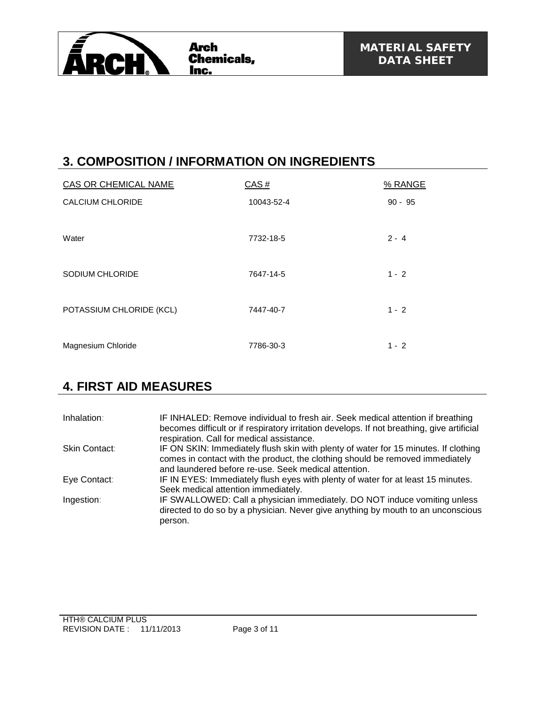

# **3. COMPOSITION / INFORMATION ON INGREDIENTS**

| CAS OR CHEMICAL NAME     | CAS#       | % RANGE   |
|--------------------------|------------|-----------|
| <b>CALCIUM CHLORIDE</b>  | 10043-52-4 | $90 - 95$ |
| Water                    | 7732-18-5  | $2 - 4$   |
| SODIUM CHLORIDE          | 7647-14-5  | $1 - 2$   |
| POTASSIUM CHLORIDE (KCL) | 7447-40-7  | $1 - 2$   |
| Magnesium Chloride       | 7786-30-3  | $1 - 2$   |

### **4. FIRST AID MEASURES**

| Inhalation:   | IF INHALED: Remove individual to fresh air. Seek medical attention if breathing<br>becomes difficult or if respiratory irritation develops. If not breathing, give artificial<br>respiration. Call for medical assistance.   |
|---------------|------------------------------------------------------------------------------------------------------------------------------------------------------------------------------------------------------------------------------|
| Skin Contact: | IF ON SKIN: Immediately flush skin with plenty of water for 15 minutes. If clothing<br>comes in contact with the product, the clothing should be removed immediately<br>and laundered before re-use. Seek medical attention. |
| Eye Contact:  | IF IN EYES: Immediately flush eyes with plenty of water for at least 15 minutes.<br>Seek medical attention immediately.                                                                                                      |
| Ingestion:    | IF SWALLOWED: Call a physician immediately. DO NOT induce vomiting unless<br>directed to do so by a physician. Never give anything by mouth to an unconscious<br>person.                                                     |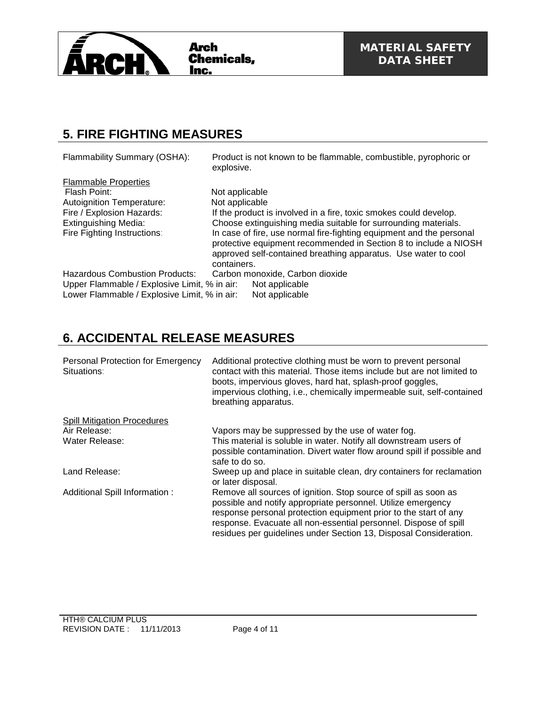

### **5. FIRE FIGHTING MEASURES**

| Flammability Summary (OSHA):                                                                                                                                               | Product is not known to be flammable, combustible, pyrophoric or<br>explosive.                                                                                                                                                                                                                                                                                                                       |
|----------------------------------------------------------------------------------------------------------------------------------------------------------------------------|------------------------------------------------------------------------------------------------------------------------------------------------------------------------------------------------------------------------------------------------------------------------------------------------------------------------------------------------------------------------------------------------------|
| <b>Flammable Properties</b><br>Flash Point:<br><b>Autoignition Temperature:</b><br>Fire / Explosion Hazards:<br><b>Extinguishing Media:</b><br>Fire Fighting Instructions: | Not applicable<br>Not applicable<br>If the product is involved in a fire, toxic smokes could develop.<br>Choose extinguishing media suitable for surrounding materials.<br>In case of fire, use normal fire-fighting equipment and the personal<br>protective equipment recommended in Section 8 to include a NIOSH<br>approved self-contained breathing apparatus. Use water to cool<br>containers. |
| Hazardous Combustion Products:<br>Upper Flammable / Explosive Limit, % in air:<br>Lower Flammable / Explosive Limit, % in air:                                             | Carbon monoxide, Carbon dioxide<br>Not applicable<br>Not applicable                                                                                                                                                                                                                                                                                                                                  |

## **6. ACCIDENTAL RELEASE MEASURES**

| Personal Protection for Emergency<br>Situations: | Additional protective clothing must be worn to prevent personal<br>contact with this material. Those items include but are not limited to<br>boots, impervious gloves, hard hat, splash-proof goggles,<br>impervious clothing, i.e., chemically impermeable suit, self-contained<br>breathing apparatus.                                     |
|--------------------------------------------------|----------------------------------------------------------------------------------------------------------------------------------------------------------------------------------------------------------------------------------------------------------------------------------------------------------------------------------------------|
| <b>Spill Mitigation Procedures</b>               |                                                                                                                                                                                                                                                                                                                                              |
| Air Release:                                     | Vapors may be suppressed by the use of water fog.                                                                                                                                                                                                                                                                                            |
| Water Release:                                   | This material is soluble in water. Notify all downstream users of<br>possible contamination. Divert water flow around spill if possible and<br>safe to do so.                                                                                                                                                                                |
| Land Release:                                    | Sweep up and place in suitable clean, dry containers for reclamation<br>or later disposal.                                                                                                                                                                                                                                                   |
| Additional Spill Information:                    | Remove all sources of ignition. Stop source of spill as soon as<br>possible and notify appropriate personnel. Utilize emergency<br>response personal protection equipment prior to the start of any<br>response. Evacuate all non-essential personnel. Dispose of spill<br>residues per guidelines under Section 13, Disposal Consideration. |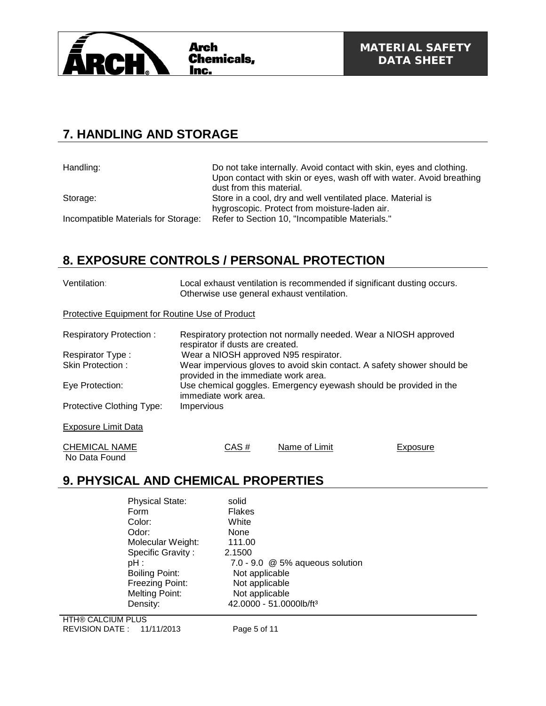

### **7. HANDLING AND STORAGE**

Handling: Handling: Do not take internally. Avoid contact with skin, eyes and clothing. Upon contact with skin or eyes, wash off with water. Avoid breathing dust from this material. Storage: Store in a cool, dry and well ventilated place. Material is hygroscopic. Protect from moisture-laden air. Incompatible Materials for Storage: Refer to Section 10, "Incompatible Materials."

### **8. EXPOSURE CONTROLS / PERSONAL PROTECTION**

| Ventilation:                                    | Local exhaust ventilation is recommended if significant dusting occurs.<br>Otherwise use general exhaust ventilation.                                                                                                                                 |               |                                                                   |  |  |
|-------------------------------------------------|-------------------------------------------------------------------------------------------------------------------------------------------------------------------------------------------------------------------------------------------------------|---------------|-------------------------------------------------------------------|--|--|
| Protective Equipment for Routine Use of Product |                                                                                                                                                                                                                                                       |               |                                                                   |  |  |
| <b>Respiratory Protection:</b>                  | respirator if dusts are created.                                                                                                                                                                                                                      |               | Respiratory protection not normally needed. Wear a NIOSH approved |  |  |
| Respirator Type:                                | Wear a NIOSH approved N95 respirator.<br>Wear impervious gloves to avoid skin contact. A safety shower should be<br>provided in the immediate work area.<br>Use chemical goggles. Emergency eyewash should be provided in the<br>immediate work area. |               |                                                                   |  |  |
| Skin Protection:                                |                                                                                                                                                                                                                                                       |               |                                                                   |  |  |
| Eye Protection:                                 |                                                                                                                                                                                                                                                       |               |                                                                   |  |  |
| Protective Clothing Type:                       | Impervious                                                                                                                                                                                                                                            |               |                                                                   |  |  |
| <b>Exposure Limit Data</b>                      |                                                                                                                                                                                                                                                       |               |                                                                   |  |  |
| <b>CHEMICAL NAME</b><br>No Data Found           | CAS#                                                                                                                                                                                                                                                  | Name of Limit | Exposure                                                          |  |  |

### **9. PHYSICAL AND CHEMICAL PROPERTIES**

| <b>Physical State:</b> | solid                               |
|------------------------|-------------------------------------|
| Form                   | <b>Flakes</b>                       |
| Color:                 | White                               |
| Odor:                  | None                                |
| Molecular Weight:      | 111.00                              |
| Specific Gravity:      | 2.1500                              |
| pH :                   | 7.0 - 9.0 @ 5% aqueous solution     |
| <b>Boiling Point:</b>  | Not applicable                      |
| Freezing Point:        | Not applicable                      |
| <b>Melting Point:</b>  | Not applicable                      |
| Density:               | 42.0000 - 51.0000lb/ft <sup>3</sup> |
|                        |                                     |

HTH® CALCIUM PLUS REVISION DATE : 11/11/2013 Page 5 of 11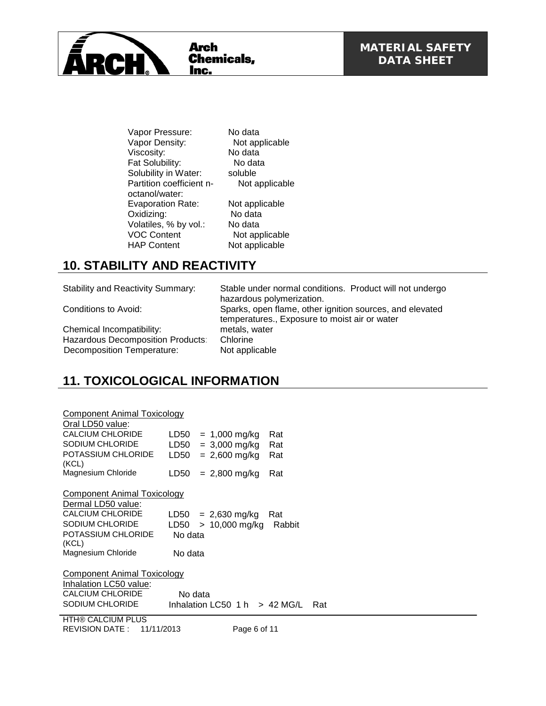

Vapor Pressure: No data<br>
Vapor Density: Not applicable Vapor Density: Viscosity: No data Fat Solubility: No data<br>Solubility in Water: soluble Solubility in Water: Partition coefficient noctanol/water: Evaporation Rate: Not applicable Oxidizing: No data Volatiles, % by vol.: No data<br>VOC Content Not app

 Not applicable Not applicable HAP Content Not applicable

## **10. STABILITY AND REACTIVITY**

Chemical Incompatibility: metals, water is not all the metals, when the Hazardous Decomposition Products: Chlorine Hazardous Decomposition Products: Decomposition Temperature: Not applicable

Stability and Reactivity Summary: Stable under normal conditions. Product will not undergo hazardous polymerization. Conditions to Avoid: Sparks, open flame, other ignition sources, and elevated temperatures., Exposure to moist air or water

# **11. TOXICOLOGICAL INFORMATION**

| LD50 | $= 1,000$ mg/kg                                                                                   | Rat                                                                                                            |
|------|---------------------------------------------------------------------------------------------------|----------------------------------------------------------------------------------------------------------------|
| LD50 |                                                                                                   | Rat                                                                                                            |
| LD50 | $= 2,600 \text{ mg/kg}$                                                                           | Rat                                                                                                            |
|      |                                                                                                   |                                                                                                                |
|      |                                                                                                   | Rat                                                                                                            |
|      |                                                                                                   |                                                                                                                |
|      | $= 2,630$ mg/kg                                                                                   | Rat                                                                                                            |
| LD50 | > 10,000 mg/kg                                                                                    | Rabbit                                                                                                         |
|      |                                                                                                   |                                                                                                                |
|      |                                                                                                   |                                                                                                                |
|      |                                                                                                   |                                                                                                                |
|      |                                                                                                   |                                                                                                                |
|      |                                                                                                   | Rat                                                                                                            |
|      | Component Animal Toxicology<br>LD50<br>Component Animal Toxicology<br>Component Animal Toxicology | $= 3,000$ mg/kg<br>$= 2,800$ mg/kg<br>LD50<br>No data<br>No data<br>No data<br>Inhalation LC50 1 h $> 42$ MG/L |

HTH® CALCIUM PLUS REVISION DATE : 11/11/2013 Page 6 of 11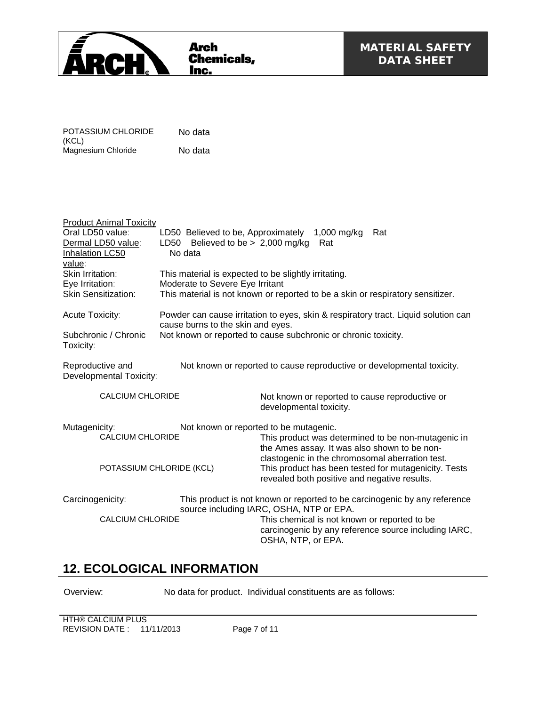

| POTASSIUM CHLORIDE | No data |
|--------------------|---------|
| (KCL)              |         |
| Magnesium Chloride | No data |

| <b>Product Animal Toxicity</b>                                                                                                            |                                                                                                                         |                                                                                |                                                      |  |
|-------------------------------------------------------------------------------------------------------------------------------------------|-------------------------------------------------------------------------------------------------------------------------|--------------------------------------------------------------------------------|------------------------------------------------------|--|
| Oral LD50 value:                                                                                                                          | LD50 Believed to be, Approximately                                                                                      | $1,000$ mg/kg                                                                  | Rat                                                  |  |
| Dermal LD50 value:                                                                                                                        | LD50 Believed to be $> 2,000$ mg/kg                                                                                     | Rat                                                                            |                                                      |  |
| <b>Inhalation LC50</b>                                                                                                                    | No data                                                                                                                 |                                                                                |                                                      |  |
| value:                                                                                                                                    |                                                                                                                         |                                                                                |                                                      |  |
| Skin Irritation:                                                                                                                          | This material is expected to be slightly irritating.                                                                    |                                                                                |                                                      |  |
| Eye Irritation:                                                                                                                           | Moderate to Severe Eye Irritant                                                                                         |                                                                                |                                                      |  |
| <b>Skin Sensitization:</b>                                                                                                                |                                                                                                                         | This material is not known or reported to be a skin or respiratory sensitizer. |                                                      |  |
| Acute Toxicity:                                                                                                                           | Powder can cause irritation to eyes, skin & respiratory tract. Liquid solution can<br>cause burns to the skin and eyes. |                                                                                |                                                      |  |
| Subchronic / Chronic<br>Toxicity:                                                                                                         | Not known or reported to cause subchronic or chronic toxicity.                                                          |                                                                                |                                                      |  |
| Reproductive and<br>Not known or reported to cause reproductive or developmental toxicity.<br>Developmental Toxicity:                     |                                                                                                                         |                                                                                |                                                      |  |
| <b>CALCIUM CHLORIDE</b>                                                                                                                   |                                                                                                                         | Not known or reported to cause reproductive or<br>developmental toxicity.      |                                                      |  |
| Mutagenicity:                                                                                                                             | Not known or reported to be mutagenic.                                                                                  |                                                                                |                                                      |  |
| <b>CALCIUM CHLORIDE</b>                                                                                                                   |                                                                                                                         | the Ames assay. It was also shown to be non-                                   | This product was determined to be non-mutagenic in   |  |
|                                                                                                                                           |                                                                                                                         | clastogenic in the chromosomal aberration test.                                |                                                      |  |
| POTASSIUM CHLORIDE (KCL)                                                                                                                  |                                                                                                                         | revealed both positive and negative results.                                   | This product has been tested for mutagenicity. Tests |  |
| Carcinogenicity:<br>This product is not known or reported to be carcinogenic by any reference<br>source including IARC, OSHA, NTP or EPA. |                                                                                                                         |                                                                                |                                                      |  |
| <b>CALCIUM CHLORIDE</b>                                                                                                                   |                                                                                                                         | This chemical is not known or reported to be<br>OSHA, NTP, or EPA.             | carcinogenic by any reference source including IARC, |  |

### **12. ECOLOGICAL INFORMATION**

Overview: No data for product. Individual constituents are as follows:

**HTH® CALCIUM PLUS** REVISION DATE : 11/11/2013 Page 7 of 11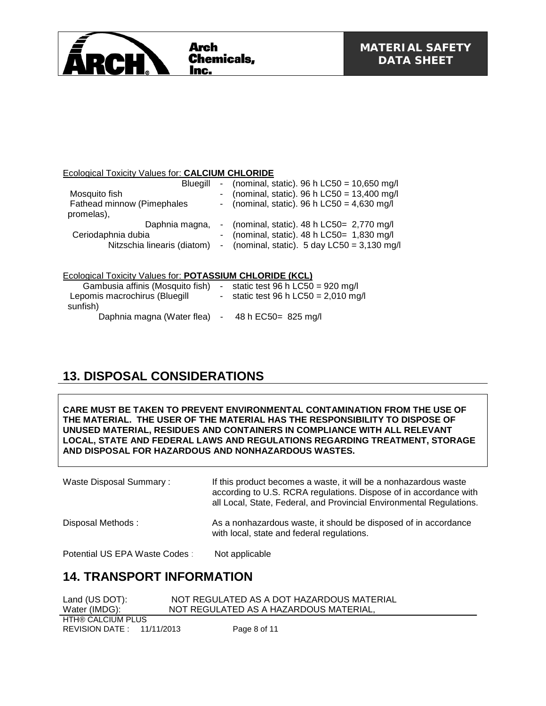

#### Ecological Toxicity Values for: **CALCIUM CHLORIDE**

| <b>Bluegill</b>             |  | - (nominal, static). 96 h LC50 = $10,650$ mg/l          |
|-----------------------------|--|---------------------------------------------------------|
| Mosquito fish               |  | - (nominal, static). 96 h $LC50 = 13,400$ mg/l          |
| Fathead minnow (Pimephales  |  | - (nominal, static). 96 h LC50 = $4,630$ mg/l           |
| promelas),                  |  |                                                         |
| Daphnia magna,              |  | - (nominal, static). $48 h$ LC50= 2,770 mg/l            |
| Ceriodaphnia dubia          |  | - (nominal, static). $48 h$ LC50 = 1,830 mg/l           |
| Nitzschia linearis (diatom) |  | - (nominal, static). $5 \text{ day }$ LC50 = 3,130 mg/l |
|                             |  |                                                         |

|--|

| Gambusia affinis (Mosquito fish) |        | - static test 96 h $LC50 = 920$ mg/l   |
|----------------------------------|--------|----------------------------------------|
| Lepomis macrochirus (Bluegill    |        | - static test 96 h $LC50 = 2,010$ mg/l |
| sunfish)                         |        |                                        |
| Daphnia magna (Water flea)       | $\sim$ | 48 h EC50 = 825 mg/l                   |

# **13. DISPOSAL CONSIDERATIONS**

**CARE MUST BE TAKEN TO PREVENT ENVIRONMENTAL CONTAMINATION FROM THE USE OF THE MATERIAL. THE USER OF THE MATERIAL HAS THE RESPONSIBILITY TO DISPOSE OF UNUSED MATERIAL, RESIDUES AND CONTAINERS IN COMPLIANCE WITH ALL RELEVANT LOCAL, STATE AND FEDERAL LAWS AND REGULATIONS REGARDING TREATMENT, STORAGE AND DISPOSAL FOR HAZARDOUS AND NONHAZARDOUS WASTES.** 

Waste Disposal Summary : If this product becomes a waste, it will be a nonhazardous waste according to U.S. RCRA regulations. Dispose of in accordance with all Local, State, Federal, and Provincial Environmental Regulations. Disposal Methods : As a nonhazardous waste, it should be disposed of in accordance with local, state and federal regulations. Potential US EPA Waste Codes : Not applicable

### **14. TRANSPORT INFORMATION**

| Land (US DOT):            | NOT REGULATED AS A DOT HAZARDOUS MATERIAL |  |
|---------------------------|-------------------------------------------|--|
| Water (IMDG):             | NOT REGULATED AS A HAZARDOUS MATERIAL,    |  |
| HTH® CALCIUM PLUS         |                                           |  |
| REVISION DATE: 11/11/2013 | Page 8 of 11                              |  |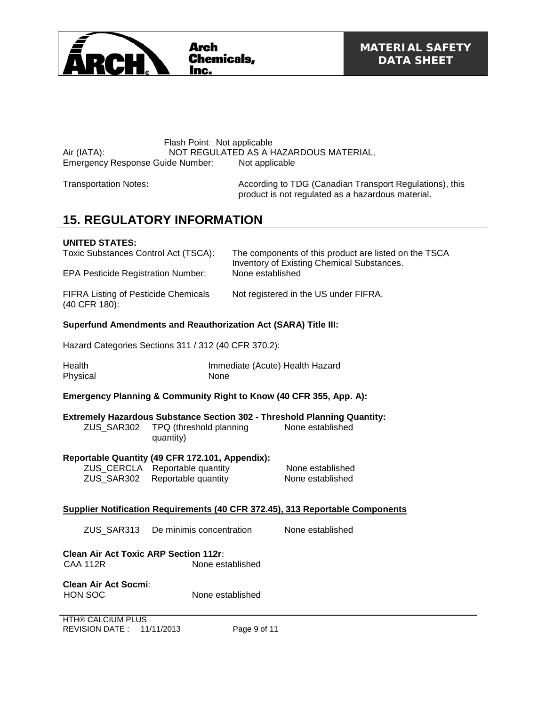

#### Flash Point: Not applicable Air (IATA): NOT REGULATED AS A HAZARDOUS MATERIAL, Emergency Response Guide Number: Not applicable

Transportation Notes**:** According to TDG (Canadian Transport Regulations), this product is not regulated as a hazardous material.

## **15. REGULATORY INFORMATION**

#### **UNITED STATES:**

| Toxic Substances Control Act (TSCA):                              | The components of this product are listed on the TSCA<br>Inventory of Existing Chemical Substances. |
|-------------------------------------------------------------------|-----------------------------------------------------------------------------------------------------|
| <b>EPA Pesticide Registration Number:</b>                         | None established                                                                                    |
| <b>FIFRA Listing of Pesticide Chemicals</b><br>$(40$ CFR $180)$ : | Not registered in the US under FIFRA.                                                               |

#### **Superfund Amendments and Reauthorization Act (SARA) Title III:**

Hazard Categories Sections 311 / 312 (40 CFR 370.2):

| Health   | Immediate (Acute) Health Hazard |
|----------|---------------------------------|
| Physical | <b>None</b>                     |

#### **Emergency Planning & Community Right to Know (40 CFR 355, App. A):**

#### **Extremely Hazardous Substance Section 302 - Threshold Planning Quantity:**

| ZUS SAR302 | TPQ (threshold planning | None established |
|------------|-------------------------|------------------|
|            | quantity)               |                  |

#### **Reportable Quantity (49 CFR 172.101, Appendix):**

ZUS\_CERCLA Reportable quantity None established ZUS\_SAR302 Reportable quantity None established

#### **Supplier Notification Requirements (40 CFR 372.45), 313 Reportable Components**

ZUS\_SAR313 De minimis concentration None established

**Clean Air Act Toxic ARP Section 112r:** None established

**Clean Air Act Socmi:** HON SOC None established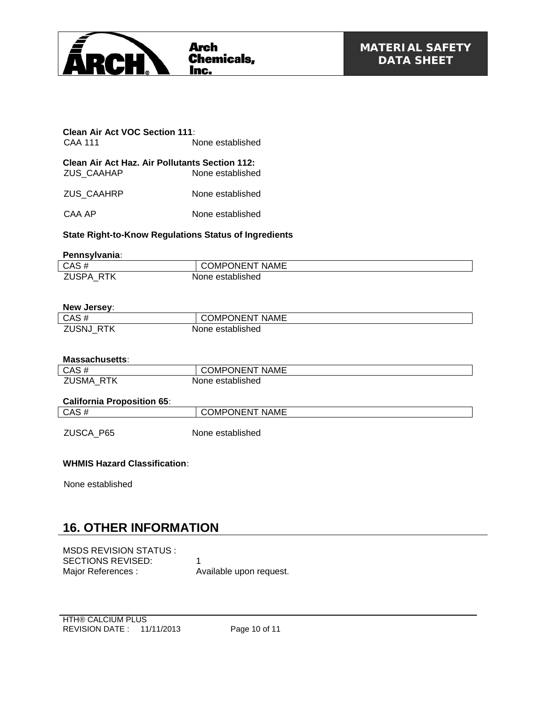

**Clean Air Act VOC Section 111:** None established

**Clean Air Act Haz. Air Pollutants Section 112:** None established

ZUS\_CAAHRP None established

CAA AP None established

#### **State Right-to-Know Regulations Status of Ingredients**

#### **Pennsylvania:**

| ___                               |                                     |
|-----------------------------------|-------------------------------------|
| CAS#                              | <b>ONENT</b><br><b>NAME</b><br>JMPC |
| <b>ZUSPA</b><br><b>RTK</b><br>$-$ | None established                    |

#### **New Jersey:**

| CAS#         | <b>COMPONENT</b><br><b>NAME</b> |
|--------------|---------------------------------|
| ZUSNJ<br>RTK | None established                |

#### **Massachusetts:**

| <b>California Proposition 65:</b> |                       |
|-----------------------------------|-----------------------|
| ZUSMA RTK                         | None established      |
| $CAS \#$                          | <b>COMPONENT NAME</b> |
|                                   |                       |

| CAS# | <b>COMPONENT NAME</b> |
|------|-----------------------|
|      |                       |

ZUSCA P65 None established

#### **WHMIS Hazard Classification:**

None established

### **16. OTHER INFORMATION**

MSDS REVISION STATUS : SECTIONS REVISED: 1 Major References : Available upon request.